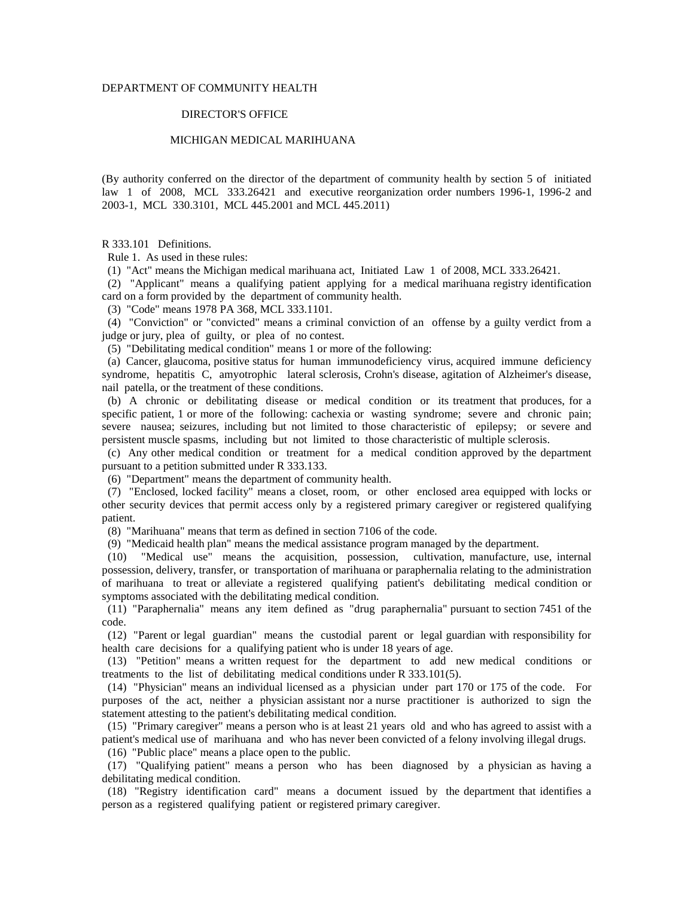# DEPARTMENT OF COMMUNITY HEALTH

### DIRECTOR'S OFFICE

### MICHIGAN MEDICAL MARIHUANA

(By authority conferred on the director of the department of community health by section 5 of initiated law 1 of 2008, MCL 333.26421 and executive reorganization order numbers 1996-1, 1996-2 and 2003-1, MCL 330.3101, MCL 445.2001 and MCL 445.2011)

R 333.101 Definitions.

Rule 1. As used in these rules:

(1) "Act" means the Michigan medical marihuana act, Initiated Law 1 of 2008, MCL 333.26421.

 (2) "Applicant" means a qualifying patient applying for a medical marihuana registry identification card on a form provided by the department of community health.

(3) "Code" means 1978 PA 368, MCL 333.1101.

 (4) "Conviction" or "convicted" means a criminal conviction of an offense by a guilty verdict from a judge or jury, plea of guilty, or plea of no contest.

(5) "Debilitating medical condition" means 1 or more of the following:

 (a) Cancer, glaucoma, positive status for human immunodeficiency virus, acquired immune deficiency syndrome, hepatitis C, amyotrophic lateral sclerosis, Crohn's disease, agitation of Alzheimer's disease, nail patella, or the treatment of these conditions.

 (b) A chronic or debilitating disease or medical condition or its treatment that produces, for a specific patient, 1 or more of the following: cachexia or wasting syndrome; severe and chronic pain; severe nausea; seizures, including but not limited to those characteristic of epilepsy; or severe and persistent muscle spasms, including but not limited to those characteristic of multiple sclerosis.

 (c) Any other medical condition or treatment for a medical condition approved by the department pursuant to a petition submitted under R 333.133.

(6) "Department" means the department of community health.

 (7) "Enclosed, locked facility" means a closet, room, or other enclosed area equipped with locks or other security devices that permit access only by a registered primary caregiver or registered qualifying patient.

(8) "Marihuana" means that term as defined in section 7106 of the code.

(9) "Medicaid health plan" means the medical assistance program managed by the department.

 (10) "Medical use" means the acquisition, possession, cultivation, manufacture, use, internal possession, delivery, transfer, or transportation of marihuana or paraphernalia relating to the administration of marihuana to treat or alleviate a registered qualifying patient's debilitating medical condition or symptoms associated with the debilitating medical condition.

 (11) "Paraphernalia" means any item defined as "drug paraphernalia" pursuant to section 7451 of the code.

 (12) "Parent or legal guardian" means the custodial parent or legal guardian with responsibility for health care decisions for a qualifying patient who is under 18 years of age.

 (13) "Petition" means a written request for the department to add new medical conditions or treatments to the list of debilitating medical conditions under R 333.101(5).

 (14) "Physician" means an individual licensed as a physician under part 170 or 175 of the code. For purposes of the act, neither a physician assistant nor a nurse practitioner is authorized to sign the statement attesting to the patient's debilitating medical condition.

 (15) "Primary caregiver" means a person who is at least 21 years old and who has agreed to assist with a patient's medical use of marihuana and who has never been convicted of a felony involving illegal drugs.

(16) "Public place" means a place open to the public.

 (17) "Qualifying patient" means a person who has been diagnosed by a physician as having a debilitating medical condition.

 (18) "Registry identification card" means a document issued by the department that identifies a person as a registered qualifying patient or registered primary caregiver.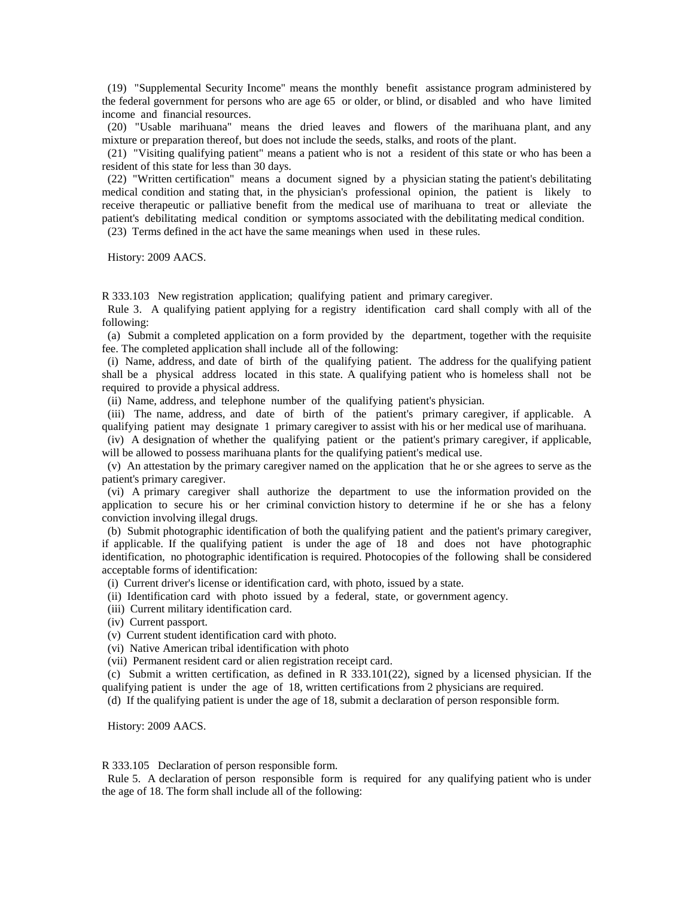(19) "Supplemental Security Income" means the monthly benefit assistance program administered by the federal government for persons who are age 65 or older, or blind, or disabled and who have limited income and financial resources.

 (20) "Usable marihuana" means the dried leaves and flowers of the marihuana plant, and any mixture or preparation thereof, but does not include the seeds, stalks, and roots of the plant.

 (21) "Visiting qualifying patient" means a patient who is not a resident of this state or who has been a resident of this state for less than 30 days.

 (22) "Written certification" means a document signed by a physician stating the patient's debilitating medical condition and stating that, in the physician's professional opinion, the patient is likely to receive therapeutic or palliative benefit from the medical use of marihuana to treat or alleviate the patient's debilitating medical condition or symptoms associated with the debilitating medical condition.

(23) Terms defined in the act have the same meanings when used in these rules.

History: 2009 AACS.

R 333.103 New registration application; qualifying patient and primary caregiver.

 Rule 3. A qualifying patient applying for a registry identification card shall comply with all of the following:

 (a) Submit a completed application on a form provided by the department, together with the requisite fee. The completed application shall include all of the following:

 (i) Name, address, and date of birth of the qualifying patient. The address for the qualifying patient shall be a physical address located in this state. A qualifying patient who is homeless shall not be required to provide a physical address.

(ii) Name, address, and telephone number of the qualifying patient's physician.

 (iii) The name, address, and date of birth of the patient's primary caregiver, if applicable. A qualifying patient may designate 1 primary caregiver to assist with his or her medical use of marihuana.

 (iv) A designation of whether the qualifying patient or the patient's primary caregiver, if applicable, will be allowed to possess marihuana plants for the qualifying patient's medical use.

 (v) An attestation by the primary caregiver named on the application that he or she agrees to serve as the patient's primary caregiver.

 (vi) A primary caregiver shall authorize the department to use the information provided on the application to secure his or her criminal conviction history to determine if he or she has a felony conviction involving illegal drugs.

 (b) Submit photographic identification of both the qualifying patient and the patient's primary caregiver, if applicable. If the qualifying patient is under the age of 18 and does not have photographic identification, no photographic identification is required. Photocopies of the following shall be considered acceptable forms of identification:

(i) Current driver's license or identification card, with photo, issued by a state.

(ii) Identification card with photo issued by a federal, state, or government agency.

- (iii) Current military identification card.
- (iv) Current passport.
- (v) Current student identification card with photo.
- (vi) Native American tribal identification with photo
- (vii) Permanent resident card or alien registration receipt card.

 (c) Submit a written certification, as defined in R 333.101(22), signed by a licensed physician. If the qualifying patient is under the age of 18, written certifications from 2 physicians are required.

(d) If the qualifying patient is under the age of 18, submit a declaration of person responsible form.

History: 2009 AACS.

R 333.105 Declaration of person responsible form.

 Rule 5. A declaration of person responsible form is required for any qualifying patient who is under the age of 18. The form shall include all of the following: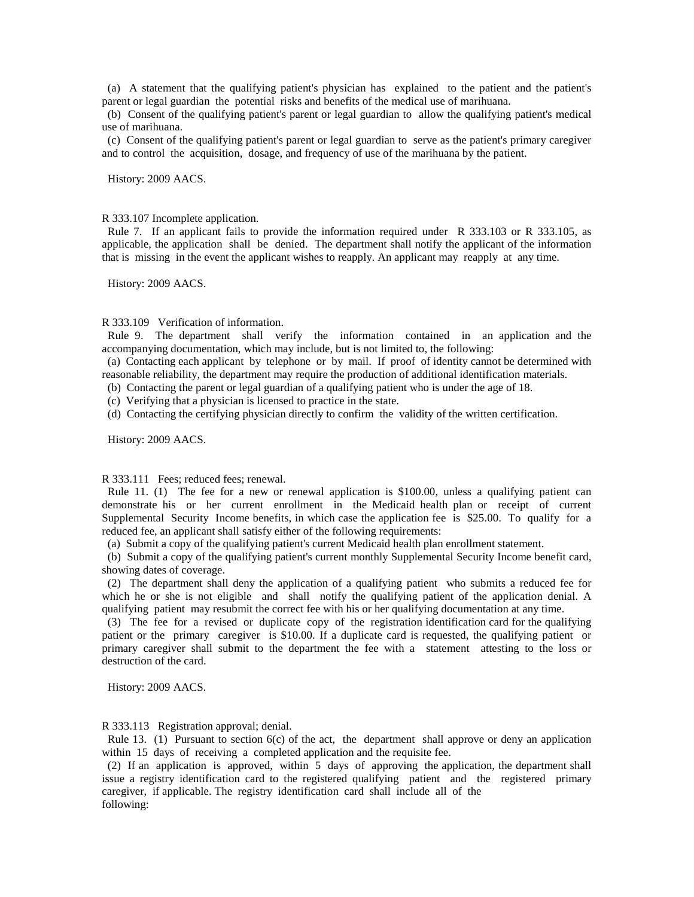(a) A statement that the qualifying patient's physician has explained to the patient and the patient's parent or legal guardian the potential risks and benefits of the medical use of marihuana.

 (b) Consent of the qualifying patient's parent or legal guardian to allow the qualifying patient's medical use of marihuana.

 (c) Consent of the qualifying patient's parent or legal guardian to serve as the patient's primary caregiver and to control the acquisition, dosage, and frequency of use of the marihuana by the patient.

History: 2009 AACS.

R 333.107 Incomplete application.

 Rule 7. If an applicant fails to provide the information required under R 333.103 or R 333.105, as applicable, the application shall be denied. The department shall notify the applicant of the information that is missing in the event the applicant wishes to reapply. An applicant may reapply at any time.

History: 2009 AACS.

#### R 333.109 Verification of information.

 Rule 9. The department shall verify the information contained in an application and the accompanying documentation, which may include, but is not limited to, the following:

 (a) Contacting each applicant by telephone or by mail. If proof of identity cannot be determined with reasonable reliability, the department may require the production of additional identification materials.

(b) Contacting the parent or legal guardian of a qualifying patient who is under the age of 18.

(c) Verifying that a physician is licensed to practice in the state.

(d) Contacting the certifying physician directly to confirm the validity of the written certification.

History: 2009 AACS.

# R 333.111 Fees; reduced fees; renewal.

Rule 11. (1) The fee for a new or renewal application is \$100.00, unless a qualifying patient can demonstrate his or her current enrollment in the Medicaid health plan or receipt of current Supplemental Security Income benefits, in which case the application fee is \$25.00. To qualify for a reduced fee, an applicant shall satisfy either of the following requirements:

(a) Submit a copy of the qualifying patient's current Medicaid health plan enrollment statement.

 (b) Submit a copy of the qualifying patient's current monthly Supplemental Security Income benefit card, showing dates of coverage.

 (2) The department shall deny the application of a qualifying patient who submits a reduced fee for which he or she is not eligible and shall notify the qualifying patient of the application denial. A qualifying patient may resubmit the correct fee with his or her qualifying documentation at any time.

 (3) The fee for a revised or duplicate copy of the registration identification card for the qualifying patient or the primary caregiver is \$10.00. If a duplicate card is requested, the qualifying patient or primary caregiver shall submit to the department the fee with a statement attesting to the loss or destruction of the card.

History: 2009 AACS.

R 333.113 Registration approval; denial.

Rule 13. (1) Pursuant to section 6(c) of the act, the department shall approve or deny an application within 15 days of receiving a completed application and the requisite fee.

 (2) If an application is approved, within 5 days of approving the application, the department shall issue a registry identification card to the registered qualifying patient and the registered primary caregiver, if applicable. The registry identification card shall include all of the following: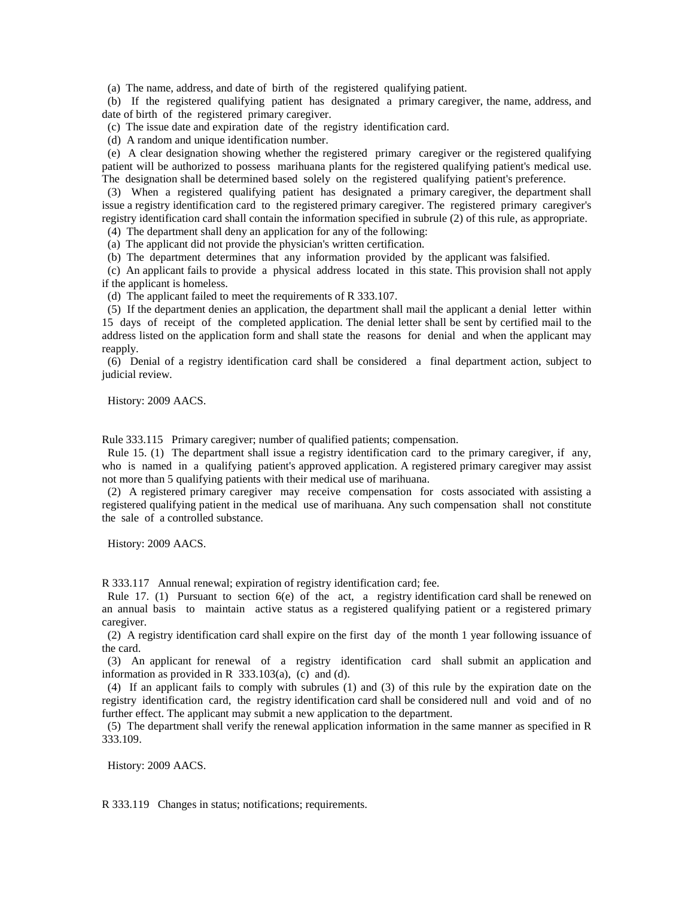(a) The name, address, and date of birth of the registered qualifying patient.

 (b) If the registered qualifying patient has designated a primary caregiver, the name, address, and date of birth of the registered primary caregiver.

(c) The issue date and expiration date of the registry identification card.

(d) A random and unique identification number.

 (e) A clear designation showing whether the registered primary caregiver or the registered qualifying patient will be authorized to possess marihuana plants for the registered qualifying patient's medical use. The designation shall be determined based solely on the registered qualifying patient's preference.

 (3) When a registered qualifying patient has designated a primary caregiver, the department shall issue a registry identification card to the registered primary caregiver. The registered primary caregiver's registry identification card shall contain the information specified in subrule (2) of this rule, as appropriate.

(4) The department shall deny an application for any of the following:

(a) The applicant did not provide the physician's written certification.

(b) The department determines that any information provided by the applicant was falsified.

 (c) An applicant fails to provide a physical address located in this state. This provision shall not apply if the applicant is homeless.

(d) The applicant failed to meet the requirements of R 333.107.

 (5) If the department denies an application, the department shall mail the applicant a denial letter within 15 days of receipt of the completed application. The denial letter shall be sent by certified mail to the address listed on the application form and shall state the reasons for denial and when the applicant may reapply.

 (6) Denial of a registry identification card shall be considered a final department action, subject to judicial review.

History: 2009 AACS.

Rule 333.115 Primary caregiver; number of qualified patients; compensation.

 Rule 15. (1) The department shall issue a registry identification card to the primary caregiver, if any, who is named in a qualifying patient's approved application. A registered primary caregiver may assist not more than 5 qualifying patients with their medical use of marihuana.

 (2) A registered primary caregiver may receive compensation for costs associated with assisting a registered qualifying patient in the medical use of marihuana. Any such compensation shall not constitute the sale of a controlled substance.

History: 2009 AACS.

R 333.117 Annual renewal; expiration of registry identification card; fee.

Rule 17. (1) Pursuant to section  $6(e)$  of the act, a registry identification card shall be renewed on an annual basis to maintain active status as a registered qualifying patient or a registered primary caregiver.

 (2) A registry identification card shall expire on the first day of the month 1 year following issuance of the card.

 (3) An applicant for renewal of a registry identification card shall submit an application and information as provided in R  $333.103(a)$ , (c) and (d).

 (4) If an applicant fails to comply with subrules (1) and (3) of this rule by the expiration date on the registry identification card, the registry identification card shall be considered null and void and of no further effect. The applicant may submit a new application to the department.

 (5) The department shall verify the renewal application information in the same manner as specified in R 333.109.

History: 2009 AACS.

R 333.119 Changes in status; notifications; requirements.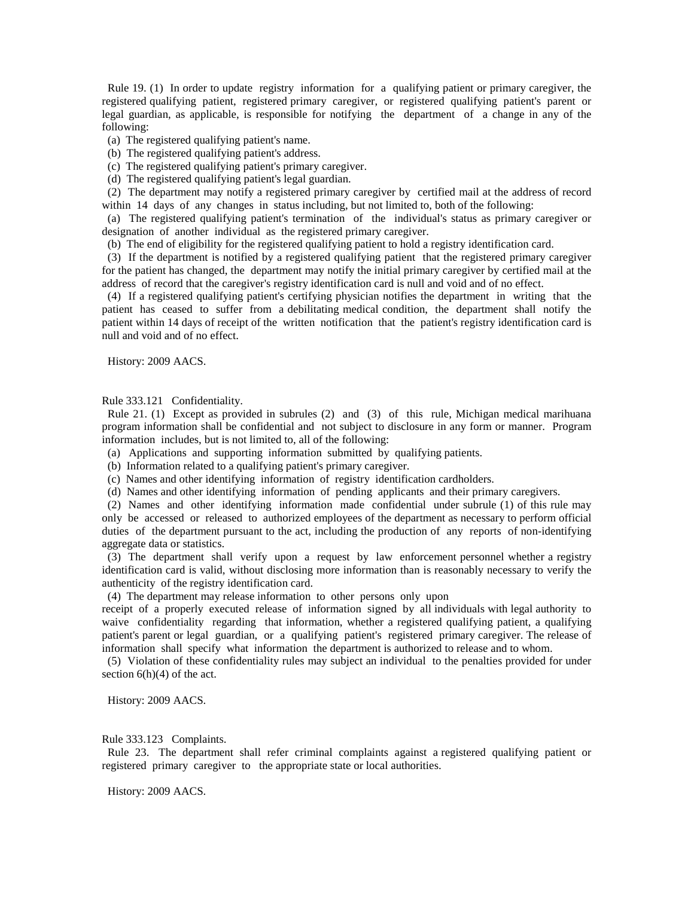Rule 19. (1) In order to update registry information for a qualifying patient or primary caregiver, the registered qualifying patient, registered primary caregiver, or registered qualifying patient's parent or legal guardian, as applicable, is responsible for notifying the department of a change in any of the following:

- (a) The registered qualifying patient's name.
- (b) The registered qualifying patient's address.
- (c) The registered qualifying patient's primary caregiver.
- (d) The registered qualifying patient's legal guardian.

 (2) The department may notify a registered primary caregiver by certified mail at the address of record within 14 days of any changes in status including, but not limited to, both of the following:

 (a) The registered qualifying patient's termination of the individual's status as primary caregiver or designation of another individual as the registered primary caregiver.

(b) The end of eligibility for the registered qualifying patient to hold a registry identification card.

 (3) If the department is notified by a registered qualifying patient that the registered primary caregiver for the patient has changed, the department may notify the initial primary caregiver by certified mail at the address of record that the caregiver's registry identification card is null and void and of no effect.

 (4) If a registered qualifying patient's certifying physician notifies the department in writing that the patient has ceased to suffer from a debilitating medical condition, the department shall notify the patient within 14 days of receipt of the written notification that the patient's registry identification card is null and void and of no effect.

History: 2009 AACS.

Rule 333.121 Confidentiality.

 Rule 21. (1) Except as provided in subrules (2) and (3) of this rule, Michigan medical marihuana program information shall be confidential and not subject to disclosure in any form or manner. Program information includes, but is not limited to, all of the following:

(a) Applications and supporting information submitted by qualifying patients.

- (b) Information related to a qualifying patient's primary caregiver.
- (c) Names and other identifying information of registry identification cardholders.
- (d) Names and other identifying information of pending applicants and their primary caregivers.

 (2) Names and other identifying information made confidential under subrule (1) of this rule may only be accessed or released to authorized employees of the department as necessary to perform official duties of the department pursuant to the act, including the production of any reports of non-identifying aggregate data or statistics.

 (3) The department shall verify upon a request by law enforcement personnel whether a registry identification card is valid, without disclosing more information than is reasonably necessary to verify the authenticity of the registry identification card.

(4) The department may release information to other persons only upon

receipt of a properly executed release of information signed by all individuals with legal authority to waive confidentiality regarding that information, whether a registered qualifying patient, a qualifying patient's parent or legal guardian, or a qualifying patient's registered primary caregiver. The release of information shall specify what information the department is authorized to release and to whom.

 (5) Violation of these confidentiality rules may subject an individual to the penalties provided for under section  $6(h)(4)$  of the act.

History: 2009 AACS.

Rule 333.123 Complaints.

 Rule 23. The department shall refer criminal complaints against a registered qualifying patient or registered primary caregiver to the appropriate state or local authorities.

History: 2009 AACS.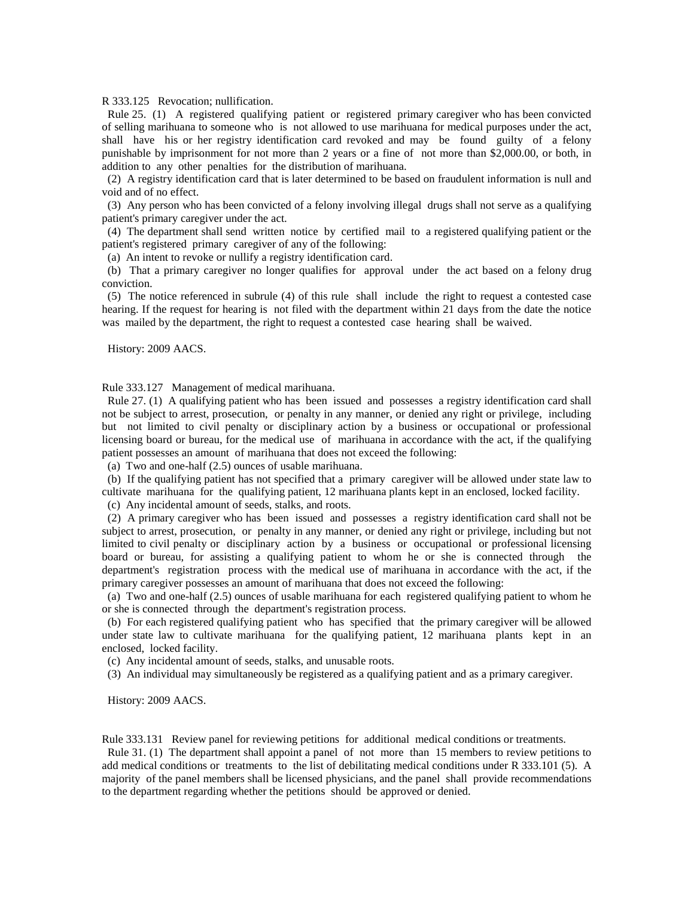R 333.125 Revocation; nullification.

 Rule 25. (1) A registered qualifying patient or registered primary caregiver who has been convicted of selling marihuana to someone who is not allowed to use marihuana for medical purposes under the act, shall have his or her registry identification card revoked and may be found guilty of a felony punishable by imprisonment for not more than 2 years or a fine of not more than \$2,000.00, or both, in addition to any other penalties for the distribution of marihuana.

 (2) A registry identification card that is later determined to be based on fraudulent information is null and void and of no effect.

 (3) Any person who has been convicted of a felony involving illegal drugs shall not serve as a qualifying patient's primary caregiver under the act.

 (4) The department shall send written notice by certified mail to a registered qualifying patient or the patient's registered primary caregiver of any of the following:

(a) An intent to revoke or nullify a registry identification card.

 (b) That a primary caregiver no longer qualifies for approval under the act based on a felony drug conviction.

 (5) The notice referenced in subrule (4) of this rule shall include the right to request a contested case hearing. If the request for hearing is not filed with the department within 21 days from the date the notice was mailed by the department, the right to request a contested case hearing shall be waived.

History: 2009 AACS.

Rule 333.127 Management of medical marihuana.

 Rule 27. (1) A qualifying patient who has been issued and possesses a registry identification card shall not be subject to arrest, prosecution, or penalty in any manner, or denied any right or privilege, including but not limited to civil penalty or disciplinary action by a business or occupational or professional licensing board or bureau, for the medical use of marihuana in accordance with the act, if the qualifying patient possesses an amount of marihuana that does not exceed the following:

(a) Two and one-half (2.5) ounces of usable marihuana.

 (b) If the qualifying patient has not specified that a primary caregiver will be allowed under state law to cultivate marihuana for the qualifying patient, 12 marihuana plants kept in an enclosed, locked facility.

(c) Any incidental amount of seeds, stalks, and roots.

 (2) A primary caregiver who has been issued and possesses a registry identification card shall not be subject to arrest, prosecution, or penalty in any manner, or denied any right or privilege, including but not limited to civil penalty or disciplinary action by a business or occupational or professional licensing board or bureau, for assisting a qualifying patient to whom he or she is connected through the department's registration process with the medical use of marihuana in accordance with the act, if the primary caregiver possesses an amount of marihuana that does not exceed the following:

 (a) Two and one-half (2.5) ounces of usable marihuana for each registered qualifying patient to whom he or she is connected through the department's registration process.

 (b) For each registered qualifying patient who has specified that the primary caregiver will be allowed under state law to cultivate marihuana for the qualifying patient, 12 marihuana plants kept in an enclosed, locked facility.

(c) Any incidental amount of seeds, stalks, and unusable roots.

(3) An individual may simultaneously be registered as a qualifying patient and as a primary caregiver.

History: 2009 AACS.

Rule 333.131 Review panel for reviewing petitions for additional medical conditions or treatments.

 Rule 31. (1) The department shall appoint a panel of not more than 15 members to review petitions to add medical conditions or treatments to the list of debilitating medical conditions under R 333.101 (5). A majority of the panel members shall be licensed physicians, and the panel shall provide recommendations to the department regarding whether the petitions should be approved or denied.